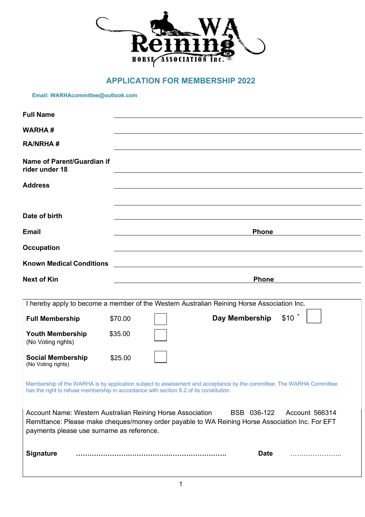

## **APPLICATION FOR MEMBERSHIP 2022**

**Email: WARHAcommittee@outlook.com**

| <b>Full Name</b>                               |                                                                                                                                                                                                                |  |  |
|------------------------------------------------|----------------------------------------------------------------------------------------------------------------------------------------------------------------------------------------------------------------|--|--|
| <b>WARHA#</b>                                  |                                                                                                                                                                                                                |  |  |
| <b>RA/NRHA#</b>                                |                                                                                                                                                                                                                |  |  |
| Name of Parent/Guardian if<br>rider under 18   |                                                                                                                                                                                                                |  |  |
| <b>Address</b>                                 |                                                                                                                                                                                                                |  |  |
|                                                |                                                                                                                                                                                                                |  |  |
| Date of birth                                  |                                                                                                                                                                                                                |  |  |
| <b>Email</b>                                   | <b>Phone</b>                                                                                                                                                                                                   |  |  |
| <b>Occupation</b>                              |                                                                                                                                                                                                                |  |  |
| <b>Known Medical Conditions</b>                |                                                                                                                                                                                                                |  |  |
| <b>Next of Kin</b>                             | <b>Phone</b>                                                                                                                                                                                                   |  |  |
|                                                |                                                                                                                                                                                                                |  |  |
|                                                | I hereby apply to become a member of the Western Australian Reining Horse Association Inc.                                                                                                                     |  |  |
| <b>Full Membership</b>                         | Day Membership<br>\$10<br>\$70.00                                                                                                                                                                              |  |  |
| <b>Youth Membership</b><br>(No Voting rights)  | \$35.00                                                                                                                                                                                                        |  |  |
| <b>Social Membership</b><br>(No Voting rights) | \$25.00                                                                                                                                                                                                        |  |  |
|                                                | Membership of the WARHA is by application subject to assessment and acceptance by the committee. The WARHA Committee<br>has the right to refuse membership in accordance with section 6.2 of its constitution. |  |  |
| payments please use surname as reference.      | Account Name: Western Australian Reining Horse Association<br>BSB 036-122<br>Account 566314<br>Remittance: Please make cheques/money order payable to WA Reining Horse Association Inc. For EFT                |  |  |
| <b>Signature</b>                               | <b>Date</b>                                                                                                                                                                                                    |  |  |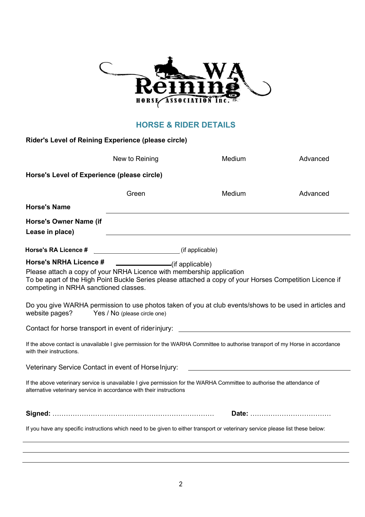

## **HORSE & RIDER DETAILS**

| Rider's Level of Reining Experience (please circle)                                                                                                               |                                                 |                                                                                                                                                                                                                                                                                                                                     |          |
|-------------------------------------------------------------------------------------------------------------------------------------------------------------------|-------------------------------------------------|-------------------------------------------------------------------------------------------------------------------------------------------------------------------------------------------------------------------------------------------------------------------------------------------------------------------------------------|----------|
|                                                                                                                                                                   | New to Reining                                  | Medium                                                                                                                                                                                                                                                                                                                              | Advanced |
| Horse's Level of Experience (please circle)                                                                                                                       |                                                 |                                                                                                                                                                                                                                                                                                                                     |          |
|                                                                                                                                                                   | Green                                           | Medium                                                                                                                                                                                                                                                                                                                              | Advanced |
| <b>Horse's Name</b>                                                                                                                                               |                                                 |                                                                                                                                                                                                                                                                                                                                     |          |
| <b>Horse's Owner Name (if</b><br>Lease in place)                                                                                                                  |                                                 |                                                                                                                                                                                                                                                                                                                                     |          |
| Horse's RA Licence #                                                                                                                                              | (if applicable)                                 |                                                                                                                                                                                                                                                                                                                                     |          |
| <b>Horse's NRHA Licence #</b><br>Please attach a copy of your NRHA Licence with membership application<br>competing in NRHA sanctioned classes.<br>website pages? | (if applicable)<br>Yes / No (please circle one) | To be apart of the High Point Buckle Series please attached a copy of your Horses Competition Licence if<br>Do you give WARHA permission to use photos taken of you at club events/shows to be used in articles and<br>Contact for horse transport in event of riderinjury:<br>Contact for horse transport in event of riderinjury: |          |
| with their instructions.                                                                                                                                          |                                                 | If the above contact is unavailable I give permission for the WARHA Committee to authorise transport of my Horse in accordance                                                                                                                                                                                                      |          |
| Veterinary Service Contact in event of Horse Injury:                                                                                                              |                                                 | <u> 1980 - John Stein, Amerikaansk politiker (</u>                                                                                                                                                                                                                                                                                  |          |
| alternative veterinary service in accordance with their instructions                                                                                              |                                                 | If the above veterinary service is unavailable I give permission for the WARHA Committee to authorise the attendance of                                                                                                                                                                                                             |          |
|                                                                                                                                                                   |                                                 |                                                                                                                                                                                                                                                                                                                                     |          |
|                                                                                                                                                                   |                                                 | If you have any specific instructions which need to be given to either transport or veterinary service please list these below:                                                                                                                                                                                                     |          |